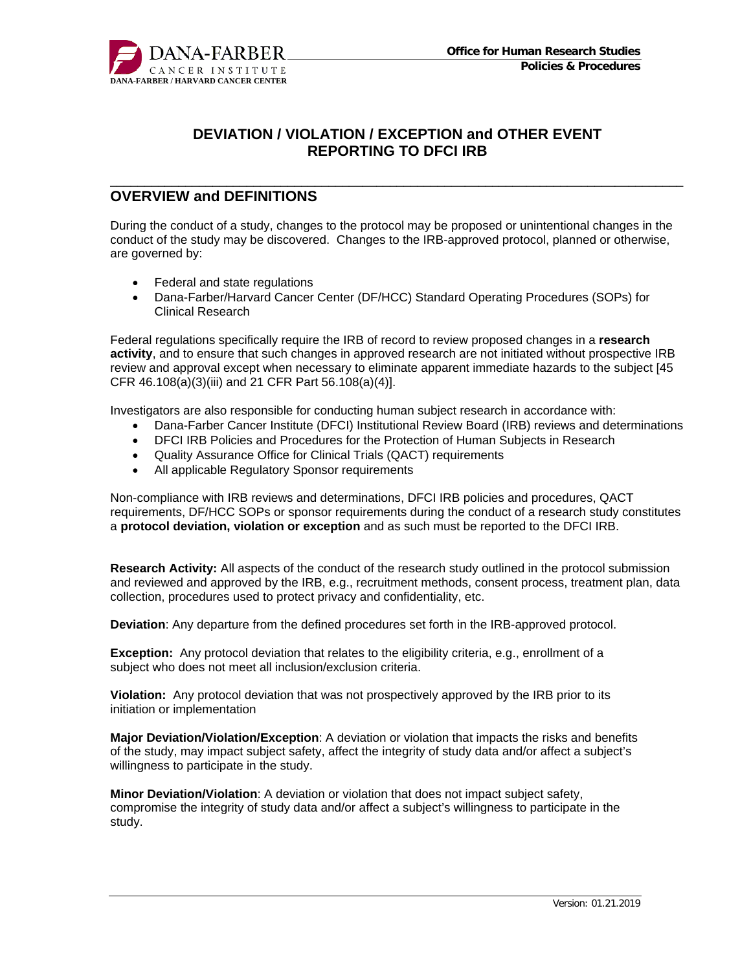

\_\_\_\_\_\_\_\_\_\_\_\_\_\_\_\_\_\_\_\_\_\_\_\_\_\_\_\_\_\_\_\_\_\_\_\_\_\_\_\_\_\_\_\_\_\_\_\_\_\_\_\_\_\_\_\_\_\_\_\_\_\_\_\_\_\_\_\_\_\_\_\_\_\_\_\_\_\_\_\_\_\_\_\_

## **OVERVIEW and DEFINITIONS**

During the conduct of a study, changes to the protocol may be proposed or unintentional changes in the conduct of the study may be discovered. Changes to the IRB-approved protocol, planned or otherwise, are governed by:

- Federal and state regulations
- Dana-Farber/Harvard Cancer Center (DF/HCC) Standard Operating Procedures (SOPs) for Clinical Research

Federal regulations specifically require the IRB of record to review proposed changes in a **research activity**, and to ensure that such changes in approved research are not initiated without prospective IRB review and approval except when necessary to eliminate apparent immediate hazards to the subject [45 CFR 46.108(a)(3)(iii) and 21 CFR Part 56.108(a)(4)].

Investigators are also responsible for conducting human subject research in accordance with:

- Dana-Farber Cancer Institute (DFCI) Institutional Review Board (IRB) reviews and determinations
- DFCI IRB Policies and Procedures for the Protection of Human Subjects in Research
- Quality Assurance Office for Clinical Trials (QACT) requirements
- All applicable Regulatory Sponsor requirements

Non-compliance with IRB reviews and determinations, DFCI IRB policies and procedures, QACT requirements, DF/HCC SOPs or sponsor requirements during the conduct of a research study constitutes a **protocol deviation, violation or exception** and as such must be reported to the DFCI IRB.

**Research Activity:** All aspects of the conduct of the research study outlined in the protocol submission and reviewed and approved by the IRB, e.g., recruitment methods, consent process, treatment plan, data collection, procedures used to protect privacy and confidentiality, etc.

**Deviation**: Any departure from the defined procedures set forth in the IRB-approved protocol.

**Exception:** Any protocol deviation that relates to the eligibility criteria, e.g., enrollment of a subject who does not meet all inclusion/exclusion criteria.

**Violation:** Any protocol deviation that was not prospectively approved by the IRB prior to its initiation or implementation

**Major Deviation/Violation/Exception**: A deviation or violation that impacts the risks and benefits of the study, may impact subject safety, affect the integrity of study data and/or affect a subject's willingness to participate in the study.

**Minor Deviation/Violation**: A deviation or violation that does not impact subject safety, compromise the integrity of study data and/or affect a subject's willingness to participate in the study.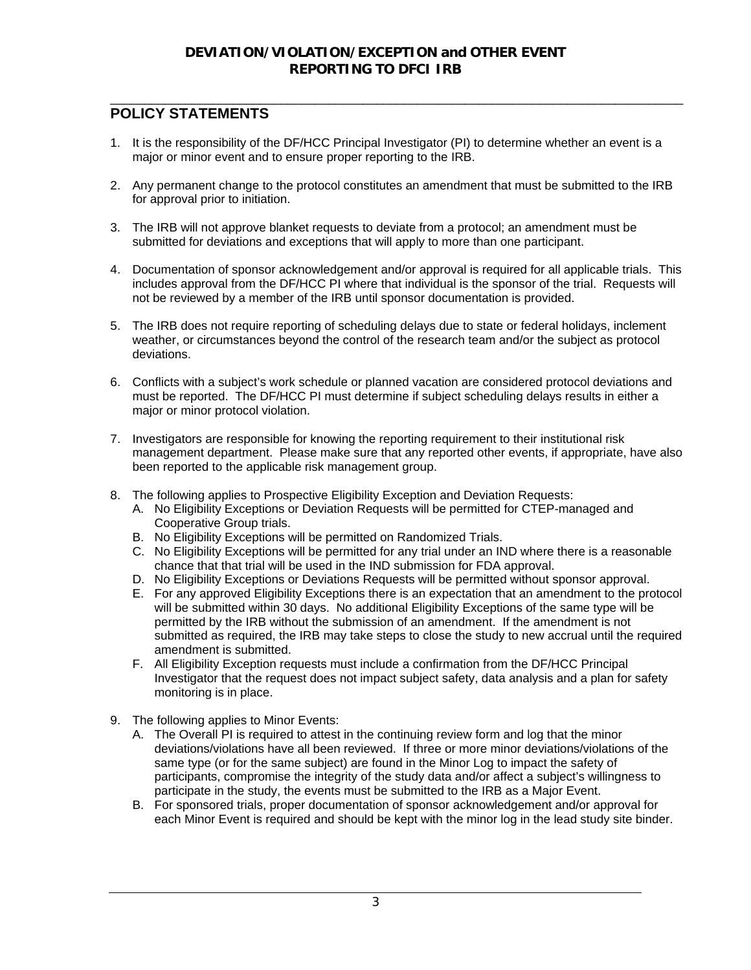# **POLICY STATEMENTS**

1. It is the responsibility of the DF/HCC Principal Investigator (PI) to determine whether an event is a major or minor event and to ensure proper reporting to the IRB.

\_\_\_\_\_\_\_\_\_\_\_\_\_\_\_\_\_\_\_\_\_\_\_\_\_\_\_\_\_\_\_\_\_\_\_\_\_\_\_\_\_\_\_\_\_\_\_\_\_\_\_\_\_\_\_\_\_\_\_\_\_\_\_\_\_\_\_\_\_\_\_\_\_\_\_\_\_\_\_\_\_\_\_\_

- 2. Any permanent change to the protocol constitutes an amendment that must be submitted to the IRB for approval prior to initiation.
- 3. The IRB will not approve blanket requests to deviate from a protocol; an amendment must be submitted for deviations and exceptions that will apply to more than one participant.
- 4. Documentation of sponsor acknowledgement and/or approval is required for all applicable trials. This includes approval from the DF/HCC PI where that individual is the sponsor of the trial. Requests will not be reviewed by a member of the IRB until sponsor documentation is provided.
- 5. The IRB does not require reporting of scheduling delays due to state or federal holidays, inclement weather, or circumstances beyond the control of the research team and/or the subject as protocol deviations.
- 6. Conflicts with a subject's work schedule or planned vacation are considered protocol deviations and must be reported. The DF/HCC PI must determine if subject scheduling delays results in either a major or minor protocol violation.
- 7. Investigators are responsible for knowing the reporting requirement to their institutional risk management department. Please make sure that any reported other events, if appropriate, have also been reported to the applicable risk management group.
- 8. The following applies to Prospective Eligibility Exception and Deviation Requests:
	- A. No Eligibility Exceptions or Deviation Requests will be permitted for CTEP-managed and Cooperative Group trials.
	- B. No Eligibility Exceptions will be permitted on Randomized Trials.
	- C. No Eligibility Exceptions will be permitted for any trial under an IND where there is a reasonable chance that that trial will be used in the IND submission for FDA approval.
	- D. No Eligibility Exceptions or Deviations Requests will be permitted without sponsor approval.
	- E. For any approved Eligibility Exceptions there is an expectation that an amendment to the protocol will be submitted within 30 days. No additional Eligibility Exceptions of the same type will be permitted by the IRB without the submission of an amendment. If the amendment is not submitted as required, the IRB may take steps to close the study to new accrual until the required amendment is submitted.
	- F. All Eligibility Exception requests must include a confirmation from the DF/HCC Principal Investigator that the request does not impact subject safety, data analysis and a plan for safety monitoring is in place.
- 9. The following applies to Minor Events:
	- A. The Overall PI is required to attest in the continuing review form and log that the minor deviations/violations have all been reviewed. If three or more minor deviations/violations of the same type (or for the same subject) are found in the Minor Log to impact the safety of participants, compromise the integrity of the study data and/or affect a subject's willingness to participate in the study, the events must be submitted to the IRB as a Major Event.
	- B. For sponsored trials, proper documentation of sponsor acknowledgement and/or approval for each Minor Event is required and should be kept with the minor log in the lead study site binder.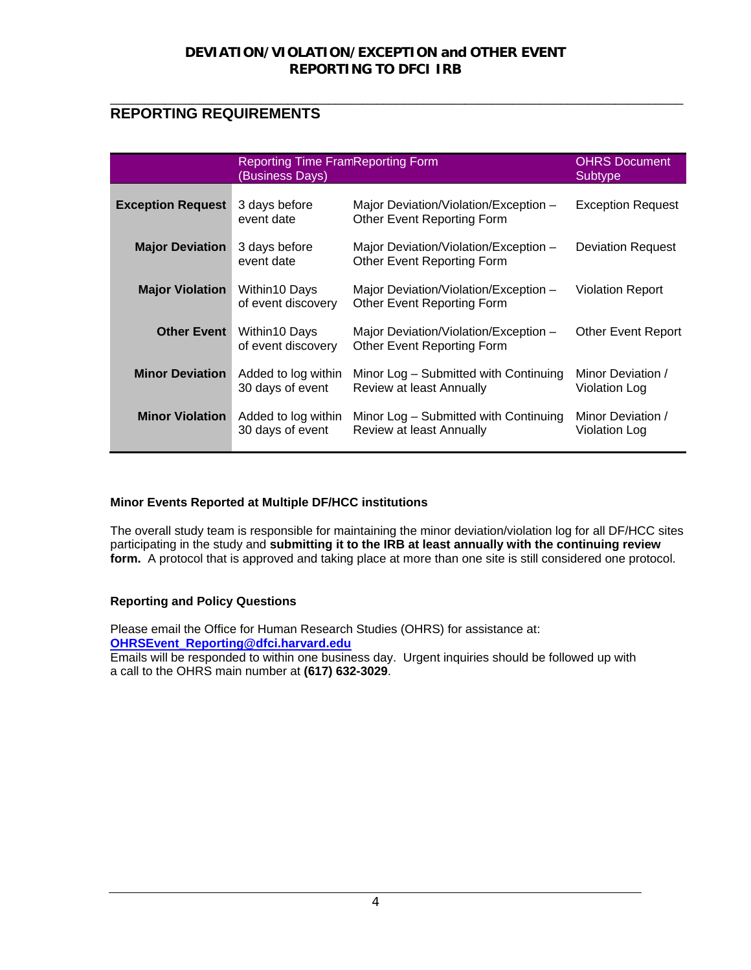### \_\_\_\_\_\_\_\_\_\_\_\_\_\_\_\_\_\_\_\_\_\_\_\_\_\_\_\_\_\_\_\_\_\_\_\_\_\_\_\_\_\_\_\_\_\_\_\_\_\_\_\_\_\_\_\_\_\_\_\_\_\_\_\_\_\_\_\_\_\_\_\_\_\_\_\_\_\_\_\_\_\_\_\_ **REPORTING REQUIREMENTS**

|                          | <b>Reporting Time FramReporting Form</b><br>(Business Days) | <b>OHRS Document</b><br>Subtype                                            |                                           |
|--------------------------|-------------------------------------------------------------|----------------------------------------------------------------------------|-------------------------------------------|
| <b>Exception Request</b> | 3 days before<br>event date                                 | Major Deviation/Violation/Exception -<br>Other Event Reporting Form        | <b>Exception Request</b>                  |
| <b>Major Deviation</b>   | 3 days before<br>event date                                 | Major Deviation/Violation/Exception -<br>Other Event Reporting Form        | <b>Deviation Request</b>                  |
| <b>Major Violation</b>   | Within10 Days<br>of event discovery                         | Major Deviation/Violation/Exception -<br><b>Other Event Reporting Form</b> | <b>Violation Report</b>                   |
| <b>Other Event</b>       | Within10 Days<br>of event discovery                         | Major Deviation/Violation/Exception -<br>Other Event Reporting Form        | <b>Other Event Report</b>                 |
| <b>Minor Deviation</b>   | Added to log within<br>30 days of event                     | Minor Log – Submitted with Continuing<br>Review at least Annually          | Minor Deviation /<br><b>Violation Log</b> |
| <b>Minor Violation</b>   | Added to log within<br>30 days of event                     | Minor Log - Submitted with Continuing<br>Review at least Annually          | Minor Deviation /<br>Violation Log        |

### **Minor Events Reported at Multiple DF/HCC institutions**

The overall study team is responsible for maintaining the minor deviation/violation log for all DF/HCC sites participating in the study and **submitting it to the IRB at least annually with the continuing review form.** A protocol that is approved and taking place at more than one site is still considered one protocol.

### **Reporting and Policy Questions**

Please email the Office for Human Research Studies (OHRS) for assistance at: **OHRSEvent\_Reporting@dfci.harvard.edu**

Emails will be responded to within one business day. Urgent inquiries should be followed up with a call to the OHRS main number at **(617) 632-3029**.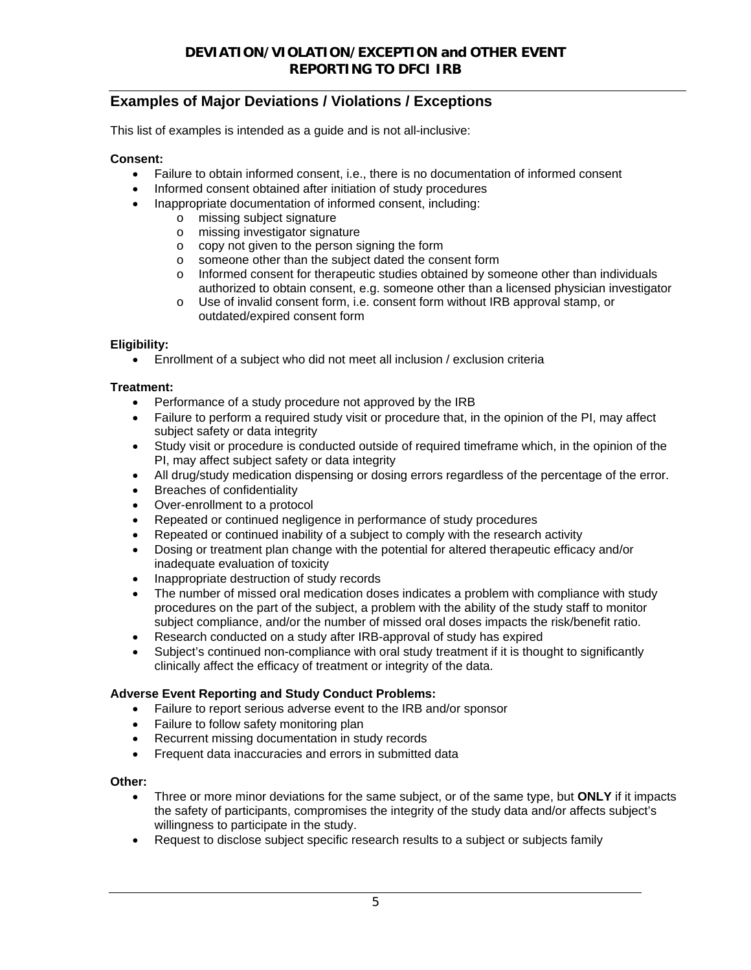# **Examples of Major Deviations / Violations / Exceptions**

This list of examples is intended as a guide and is not all-inclusive:

### **Consent:**

- Failure to obtain informed consent, i.e., there is no documentation of informed consent
- Informed consent obtained after initiation of study procedures
- Inappropriate documentation of informed consent, including:
	- o missing subject signature
	- o missing investigator signature
	- o copy not given to the person signing the form
	- o someone other than the subject dated the consent form
	- o Informed consent for therapeutic studies obtained by someone other than individuals authorized to obtain consent, e.g. someone other than a licensed physician investigator
	- o Use of invalid consent form, i.e. consent form without IRB approval stamp, or outdated/expired consent form

### **Eligibility:**

Enrollment of a subject who did not meet all inclusion / exclusion criteria

### **Treatment:**

- Performance of a study procedure not approved by the IRB
- Failure to perform a required study visit or procedure that, in the opinion of the PI, may affect subject safety or data integrity
- Study visit or procedure is conducted outside of required timeframe which, in the opinion of the PI, may affect subject safety or data integrity
- All drug/study medication dispensing or dosing errors regardless of the percentage of the error.
- Breaches of confidentiality
- Over-enrollment to a protocol
- Repeated or continued negligence in performance of study procedures
- Repeated or continued inability of a subject to comply with the research activity
- Dosing or treatment plan change with the potential for altered therapeutic efficacy and/or inadequate evaluation of toxicity
- Inappropriate destruction of study records
- The number of missed oral medication doses indicates a problem with compliance with study procedures on the part of the subject, a problem with the ability of the study staff to monitor subject compliance, and/or the number of missed oral doses impacts the risk/benefit ratio.
- Research conducted on a study after IRB-approval of study has expired
- Subject's continued non-compliance with oral study treatment if it is thought to significantly clinically affect the efficacy of treatment or integrity of the data.

### **Adverse Event Reporting and Study Conduct Problems:**

- Failure to report serious adverse event to the IRB and/or sponsor
- Failure to follow safety monitoring plan
- Recurrent missing documentation in study records
- Frequent data inaccuracies and errors in submitted data

### **Other:**

- Three or more minor deviations for the same subject, or of the same type, but **ONLY** if it impacts the safety of participants, compromises the integrity of the study data and/or affects subject's willingness to participate in the study.
- Request to disclose subject specific research results to a subject or subjects family